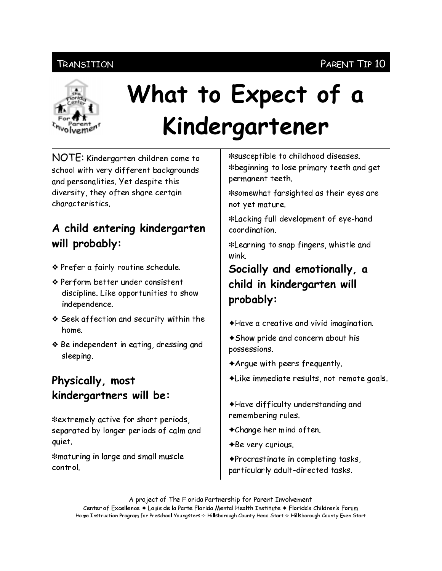#### Transition

#### PARENT TIP 10



# What to Expect of a Kindergartener

NOTE: Kindergarten children come to school with very different backgrounds and personalities. Yet despite this diversity, they often share certain *characteristics* 

## A child entering kindergarten will probably:

- ❖ Prefer a fairly routine schedule.
- ❖ Perform better under consistent discipline. Like opportunities to show independence.
- ❖ Seek affection and security within the home.
- ❖ Be independent in eating, dressing and sleeping.

## Physically, most kindergartners will be:

\*extremely active for short periods, separated by longer periods of calm and quiet.

\*maturing in large and small muscle control.

\*susceptible to childhood diseases. \*beginning to lose primary teeth and get permanent teeth.

\*somewhat farsighted as their eyes are not yet mature.

\*Lacking full development of eye-hand coordination.

\*Learning to snap fingers, whistle and wink.

#### Socially and emotionally, a child in kindergarten will probably:

- $\triangle$ Have a creative and vivid imagination.
- ◆ Show pride and concern about his possessions.
- $\triangle$  Argue with peers frequently.
- ◆ Like immediate results, not remote goals.
- ◆Have difficulty understanding and remembering rules.
- $\triangle$ Change her mind often.
- $\triangle$ Be very curious.

◆Procrastinate in completing tasks, particularly adult-directed tasks.

A project of The Florida Partnership for Parent Involvement Center of Excellence ♦ Louis de la Parte Florida Mental Health Institute ♦ Florida's Children's Forum Home Instruction Program for Preschool Youngsters & Hillsborough County Head Start & Hillsborough County Even Start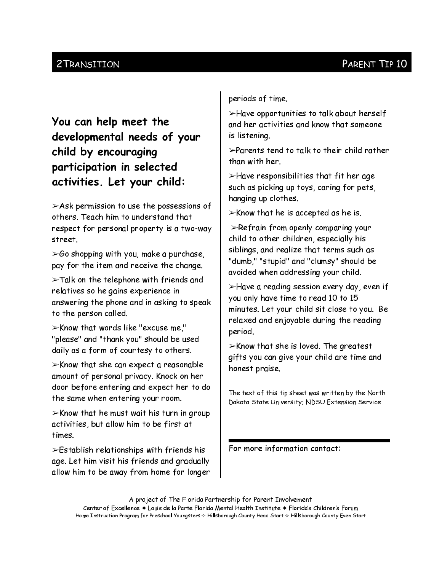#### 2 TRANSITION

## You can help meet the developmental needs of your child by encouraging participation in selected activities. Let your child:

 $>$ Ask permission to use the possessions of others. Teach him to understand that respect for personal property is a two-way street

 $\geq$  60 shopping with you, make a purchase, pay for the item and receive the change.

 $\blacktriangleright$ Talk on the telephone with friends and relatives so he gains experience in answering the phone and in asking to speak to the person called.

 $\triangleright$ Know that words like "excuse me," "please" and "thank you" should be used daily as a form of courtesy to others.

 $\triangleright$ Know that she can expect a reasonable amount of personal privacy. Knock on her door before entering and expect her to do the same when entering your room.

 $\triangleright$ Know that he must wait his turn in group activities, but allow him to be first at times.

 $\triangleright$  Establish relationships with friends his age. Let him visit his friends and gradually allow him to be away from home for longer

periods of time.

>Have opportunities to talk about herself and her activities and know that someone is listening.

 $\triangleright$ Parents tend to talk to their child rather than with her.

 $\blacktriangleright$  Have responsibilities that fit her age such as picking up toys, caring for pets, hanging up clothes.

 $\triangleright$ Know that he is accepted as he is.

 $\blacktriangleright$ Refrain from openly comparing your child to other children, especially his siblings, and realize that terms such as "dumb," "stupid" and "clumsy" should be avoided when addressing your child.

>Have a reading session every day, even if you only have time to read 10 to 15 minutes. Let your child sit close to you. Be relaxed and enjoyable during the reading period.

 $\triangleright$ Know that she is loved. The greatest gifts you can give your child are time and honest praise.

The text of this tip sheet was written by the North Dakota State University, NDSU Extension Service

For more information contact: